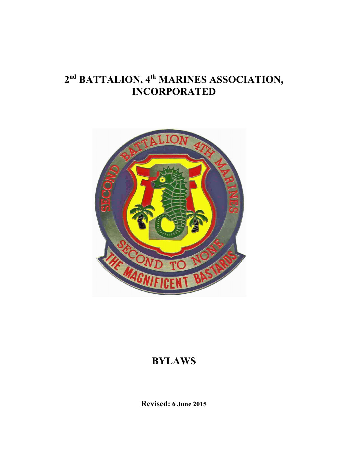# **2 nd BATTALION, 4 th MARINES ASSOCIATION, INCORPORATED**



# **BYLAWS**

**Revised: 6 June 2015**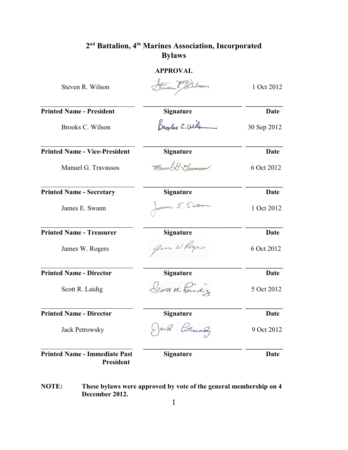## **APPROVAL**

| Steven R. Wilson                                         | Steven Etdilson  | 1 Oct 2012  |
|----------------------------------------------------------|------------------|-------------|
| <b>Printed Name - President</b>                          | <b>Signature</b> | Date        |
| Brooks C. Wilson                                         | Brooker C. Wile  | 30 Sep 2012 |
| <b>Printed Name - Vice-President</b>                     | <b>Signature</b> | Date        |
| Manuel G. Travassos                                      | Manuel G. Mameso | 6 Oct 2012  |
| <b>Printed Name - Secretary</b>                          | <b>Signature</b> | Date        |
| James E. Swann                                           | James E. Swann   | 1 Oct 2012  |
| <b>Printed Name - Treasurer</b>                          | <b>Signature</b> | <b>Date</b> |
| James W. Rogers                                          | Jams W Rogers    | 6 Oct 2012  |
| <b>Printed Name - Director</b>                           | <b>Signature</b> | <b>Date</b> |
| Scott R. Laidig                                          | Scott Kindig     | 5 Oct 2012  |
| <b>Printed Name - Director</b>                           | <b>Signature</b> | Date        |
| <b>Jack Petrowsky</b>                                    | Jack Petrowaldy  | 9 Oct 2012  |
| <b>Printed Name - Immediate Past</b><br><b>President</b> | <b>Signature</b> | Date        |

**NOTE: These bylaws were approved by vote of the general membership on 4 December 2012.**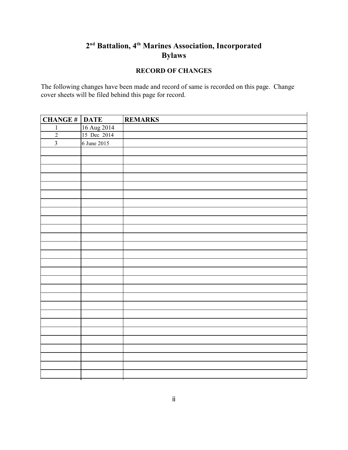### **RECORD OF CHANGES**

 $\ddot{\phantom{a}}$ 

The following changes have been made and record of same is recorded on this page. Change cover sheets will be filed behind this page for record.

| <b>CHANGE # DATE</b>    |                            | <b>REMARKS</b> |
|-------------------------|----------------------------|----------------|
| $\mathbf{1}$            |                            |                |
| $\overline{2}$          | 16 Aug 2014<br>15 Dec 2014 |                |
| $\overline{\mathbf{3}}$ | 6 June 2015                |                |
|                         |                            |                |
|                         |                            |                |
|                         |                            |                |
|                         |                            |                |
|                         |                            |                |
|                         |                            |                |
|                         |                            |                |
|                         |                            |                |
|                         |                            |                |
|                         |                            |                |
|                         |                            |                |
|                         |                            |                |
|                         |                            |                |
|                         |                            |                |
|                         |                            |                |
|                         |                            |                |
|                         |                            |                |
|                         |                            |                |
|                         |                            |                |
|                         |                            |                |
|                         |                            |                |
|                         |                            |                |
|                         |                            |                |
|                         |                            |                |
|                         |                            |                |
|                         |                            |                |
|                         |                            |                |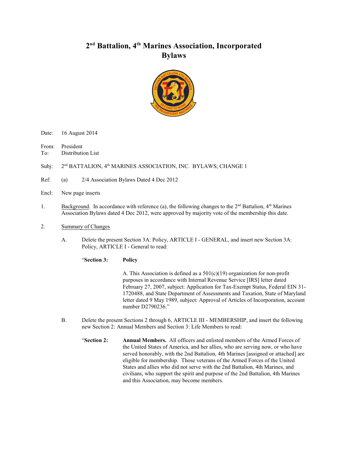

Date: 16 August 2014

From: President

To: Distribution List

Subj: nd BATTALION, 4<sup>th</sup> MARINES ASSOCIATION, INC. BYLAWS; CHANGE 1

Ref: (a) 2/4 Association Bylaws Dated 4 Dec 2012

- Encl: New page inserts
- 1. Background. In accordance with reference (a), the following changes to the  $2<sup>nd</sup>$  Battalion,  $4<sup>th</sup>$  Marines Association Bylaws dated 4 Dec 2012, were approved by majority vote of the membership this date.
- 2. Summary of Changes
	- A. Delete the present Section 3A: Policy, ARTICLE I GENERAL, and insert new Section 3A: Policy, ARTICLE I - General to read:

"**Section 3: Policy**

A. This Association is defined as a  $501(c)(19)$  organization for non-profit purposes in accordance with Internal Revenue Service [IRS] letter dated February 27, 2007, subject: Application for Tax-Exempt Status, Federal EIN 31- 1720488, and State Department of Assessments and Taxation, State of Maryland letter dated 9 May 1989, subject: Approval of Articles of Incorporation, account number D2790236."

- B. Delete the present Sections 2 through 6, ARTICLE III MEMBERSHIP, and insert the following new Section 2: Annual Members and Section 3: Life Members to read:
	- "**Section 2: Annual Members.** All officers and enlisted members of the Armed Forces of the United States of America, and her allies, who are serving now, or who have served honorably, with the 2nd Battalion, 4th Marines [assigned or attached] are eligible for membership. Those veterans of the Armed Forces of the United States and allies who did not serve with the 2nd Battalion, 4th Marines, and civilians, who support the spirit and purpose of the 2nd Battalion, 4th Marines and this Association, may become members.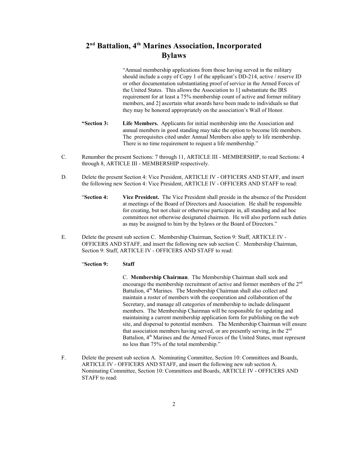"Annual membership applications from those having served in the military should include a copy of Copy 1 of the applicant's DD-214, active / reserve ID or other documentation substantiating proof of service in the Armed Forces of the United States. This allows the Association to 1] substantiate the IRS requirement for at least a 75% membership count of active and former military members, and 2] ascertain what awards have been made to individuals so that they may be honored appropriately on the association's Wall of Honor.

- **"Section 3: Life Members.** Applicants for initial membership into the Association and annual members in good standing may take the option to become life members. The prerequisites cited under Annual Members also apply to life membership. There is no time requirement to request a life membership."
- C. Renumber the present Sections: 7 through 11, ARTICLE III MEMBERSHIP, to read Sections: 4 through 8, ARTICLE III - MEMBERSHIP respectively.
- D. Delete the present Section 4: Vice President, ARTICLE IV OFFICERS AND STAFF, and insert the following new Section 4: Vice President, ARTICLE IV - OFFICERS AND STAFF to read:
	- "**Section 4: Vice President.** The Vice President shall preside in the absence of the President at meetings of the Board of Directors and Association. He shall be responsible for creating, but not chair or otherwise participate in, all standing and ad hoc committees not otherwise designated chairmen. He will also perform such duties as may be assigned to him by the bylaws or the Board of Directors."
- E. Delete the present sub section C. Membership Chairman, Section 9: Staff, ARTICLE IV OFFICERS AND STAFF, and insert the following new sub section C. Membership Chairman, Section 9: Staff, ARTICLE IV - OFFICERS AND STAFF to read:

#### "**Section 9: Staff**

C. **Membership Chairman**. The Membership Chairman shall seek and encourage the membership recruitment of active and former members of the 2<sup>nd</sup> Battalion, 4<sup>th</sup> Marines. The Membership Chairman shall also collect and maintain a roster of members with the cooperation and collaboration of the Secretary, and manage all categories of membership to include delinquent members. The Membership Chairman will be responsible for updating and maintaining a current membership application form for publishing on the web site, and dispersal to potential members. The Membership Chairman will ensure that association members having served, or are presently serving, in the 2<sup>nd</sup> Battalion, 4<sup>th</sup> Marines and the Armed Forces of the United States, must represent no less than 75% of the total membership."

F. Delete the present sub section A. Nominating Committee, Section 10: Committees and Boards, ARTICLE IV - OFFICERS AND STAFF, and insert the following new sub section A. Nominating Committee, Section 10: Committees and Boards, ARTICLE IV - OFFICERS AND STAFF to read: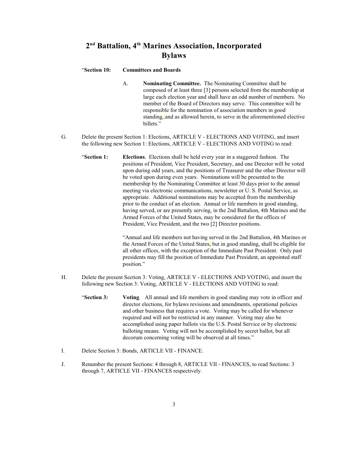#### "**Section 10: Committees and Boards**

- A. **Nominating Committee.** The Nominating Committee shall be composed of at least three [3] persons selected from the membership at large each election year and shall have an odd number of members. No member of the Board of Directors may serve. This committee will be responsible for the nomination of association members in good standing, and as allowed herein, to serve in the aforementioned elective hillets<sup>"</sup>
- G. Delete the present Section 1: Elections, ARTICLE V ELECTIONS AND VOTING, and insert the following new Section 1: Elections, ARTICLE V - ELECTIONS AND VOTING to read:
	- "**Section 1: Elections**. Elections shall be held every year in a staggered fashion. The positions of President, Vice President, Secretary, and one Director will be voted upon during odd years, and the positions of Treasurer and the other Director will be voted upon during even years. Nominations will be presented to the membership by the Nominating Committee at least 30 days prior to the annual meeting via electronic communications, newsletter or U. S. Postal Service, as appropriate. Additional nominations may be accepted from the membership prior to the conduct of an election. Annual or life members in good standing, having served, or are presently serving, in the 2nd Battalion, 4th Marines and the Armed Forces of the United States, may be considered for the offices of President, Vice President, and the two [2] Director positions.

"Annual and life members not having served in the 2nd Battalion, 4th Marines or the Armed Forces of the United States, but in good standing, shall be eligible for all other offices, with the exception of the Immediate Past President. Only past presidents may fill the position of Immediate Past President, an appointed staff position."

- H. Delete the present Section 3: Voting, ARTICLE V ELECTIONS AND VOTING, and insert the following new Section 3: Voting, ARTICLE V - ELECTIONS AND VOTING to read:
	- "**Section 3: Voting**. All annual and life members in good standing may vote in officer and director elections, for bylaws revisions and amendments, operational policies and other business that requires a vote. Voting may be called for whenever required and will not be restricted in any manner. Voting may also be accomplished using paper ballots via the U.S. Postal Service or by electronic balloting means. Voting will not be accomplished by secret ballot, but all decorum concerning voting will be observed at all times."
- I. Delete Section 3: Bonds, ARTICLE VII FINANCE.
- J. Renumber the present Sections: 4 through 8, ARTICLE VII FINANCES, to read Sections: 3 through 7, ARTICLE VII - FINANCES respectively.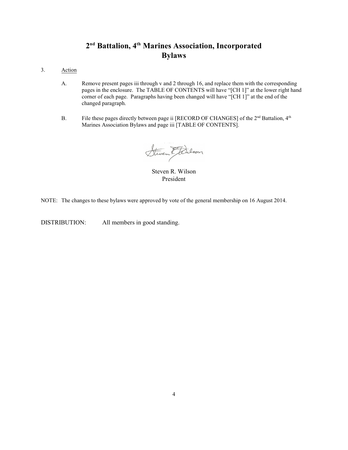- 3. Action
	- A. Remove present pages iii through v and 2 through 16, and replace them with the corresponding pages in the enclosure. The TABLE OF CONTENTS will have "[CH 1]" at the lower right hand corner of each page. Paragraphs having been changed will have "[CH 1]" at the end of the changed paragraph.
	- B. File these pages directly between page ii [RECORD OF CHANGES] of the  $2<sup>nd</sup>$  Battalion,  $4<sup>th</sup>$ Marines Association Bylaws and page iii [TABLE OF CONTENTS].

Steven Etdilson

Steven R. Wilson President

NOTE: The changes to these bylaws were approved by vote of the general membership on 16 August 2014.

DISTRIBUTION: All members in good standing.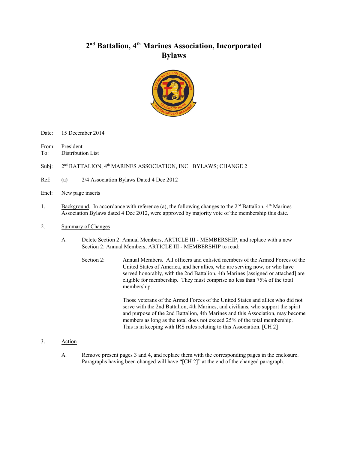

Date: 15 December 2014

From: President

To: Distribution List

Subj: nd BATTALION, 4<sup>th</sup> MARINES ASSOCIATION, INC. BYLAWS; CHANGE 2

Ref: (a) 2/4 Association Bylaws Dated 4 Dec 2012

- Encl: New page inserts
- 1. Background. In accordance with reference (a), the following changes to the  $2<sup>nd</sup>$  Battalion,  $4<sup>th</sup>$  Marines Association Bylaws dated 4 Dec 2012, were approved by majority vote of the membership this date.
- 2. Summary of Changes
	- A. Delete Section 2: Annual Members, ARTICLE III MEMBERSHIP, and replace with a new Section 2: Annual Members, ARTICLE III - MEMBERSHIP to read:
		- Section 2: Annual Members. All officers and enlisted members of the Armed Forces of the United States of America, and her allies, who are serving now, or who have served honorably, with the 2nd Battalion, 4th Marines [assigned or attached] are eligible for membership. They must comprise no less than 75% of the total membership.

Those veterans of the Armed Forces of the United States and allies who did not serve with the 2nd Battalion, 4th Marines, and civilians, who support the spirit and purpose of the 2nd Battalion, 4th Marines and this Association, may become members as long as the total does not exceed 25% of the total membership. This is in keeping with IRS rules relating to this Association. [CH 2]

- 3. Action
	- A. Remove present pages 3 and 4, and replace them with the corresponding pages in the enclosure. Paragraphs having been changed will have "[CH 2]" at the end of the changed paragraph.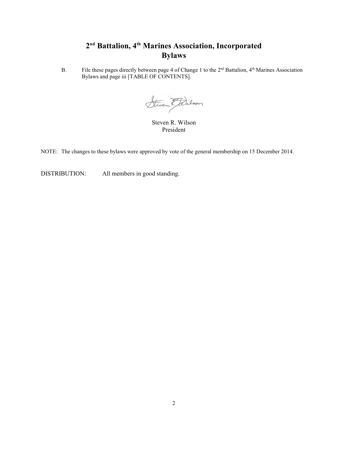B. File these pages directly between page 4 of Change 1 to the 2<sup>nd</sup> Battalion, 4<sup>th</sup> Marines Association Bylaws and page iii [TABLE OF CONTENTS].

Steven Etdilson

Steven R. Wilson President

NOTE: The changes to these bylaws were approved by vote of the general membership on 15 December 2014.

DISTRIBUTION: All members in good standing.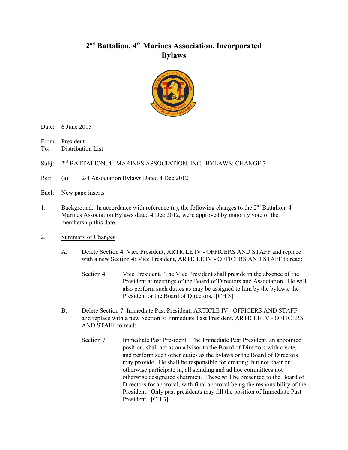

Date: 6 June 2015

From: President

To: Distribution List

Subi: nd BATTALION, 4th MARINES ASSOCIATION, INC. BYLAWS; CHANGE 3

- Ref: (a) 2/4 Association Bylaws Dated 4 Dec 2012
- Encl: New page inserts
- 1. Background. In accordance with reference (a), the following changes to the  $2<sup>nd</sup>$  Battalion,  $4<sup>th</sup>$ Marines Association Bylaws dated 4 Dec 2012, were approved by majority vote of the membership this date.

#### 2. Summary of Changes

- A. Delete Section 4: Vice President, ARTICLE IV OFFICERS AND STAFF and replace with a new Section 4: Vice President, ARTICLE IV - OFFICERS AND STAFF to read:
	- Section 4: Vice President. The Vice President shall preside in the absence of the President at meetings of the Board of Directors and Association. He will also perform such duties as may be assigned to him by the bylaws, the President or the Board of Directors. [CH 3]
- B. Delete Section 7: Immediate Past President, ARTICLE IV OFFICERS AND STAFF and replace with a new Section 7: Immediate Past President, ARTICLE IV - OFFICERS AND STAFF to read:
	- Section 7: Immediate Past President. The Immediate Past President, an appointed position, shall act as an advisor to the Board of Directors with a vote, and perform such other duties as the bylaws or the Board of Directors may provide. He shall be responsible for creating, but not chair or otherwise participate in, all standing and ad hoc committees not otherwise designated chairmen. These will be presented to the Board of Directors for approval, with final approval being the responsibility of the President. Only past presidents may fill the position of Immediate Past President. [CH 3]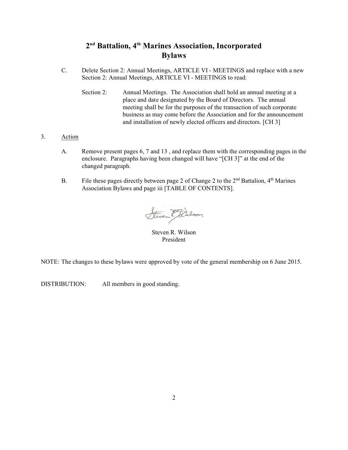- C. Delete Section 2: Annual Meetings, ARTICLE VI MEETINGS and replace with a new Section 2: Annual Meetings, ARTICLE VI - MEETINGS to read:
	- Section 2: Annual Meetings. The Association shall hold an annual meeting at a place and date designated by the Board of Directors. The annual meeting shall be for the purposes of the transaction of such corporate business as may come before the Association and for the announcement and installation of newly elected officers and directors. [CH 3]
- 3. Action
	- A. Remove present pages 6, 7 and 13 , and replace them with the corresponding pages in the enclosure. Paragraphs having been changed will have "[CH 3]" at the end of the changed paragraph.
	- B. File these pages directly between page 2 of Change 2 to the  $2<sup>nd</sup>$  Battalion,  $4<sup>th</sup>$  Marines Association Bylaws and page iii [TABLE OF CONTENTS].

Steven Etcilson

Steven R. Wilson President

NOTE: The changes to these bylaws were approved by vote of the general membership on 6 June 2015.

DISTRIBUTION: All members in good standing.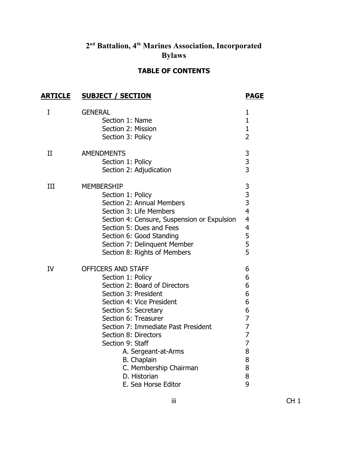## **TABLE OF CONTENTS**

| <b>ARTICLE</b> | <b>SUBJECT / SECTION</b>                                                                                                                                                                                                                                                                                                                                | <b>PAGE</b>                                                                                                            |
|----------------|---------------------------------------------------------------------------------------------------------------------------------------------------------------------------------------------------------------------------------------------------------------------------------------------------------------------------------------------------------|------------------------------------------------------------------------------------------------------------------------|
| I              | <b>GENERAL</b><br>Section 1: Name<br>Section 2: Mission<br>Section 3: Policy                                                                                                                                                                                                                                                                            | $\mathbf{1}$<br>$\mathbf{1}$<br>$\mathbf{1}$<br>$\overline{2}$                                                         |
| II             | <b>AMENDMENTS</b><br>Section 1: Policy<br>Section 2: Adjudication                                                                                                                                                                                                                                                                                       | $\begin{array}{c} 3 \\ 3 \end{array}$                                                                                  |
| III            | <b>MEMBERSHIP</b><br>Section 1: Policy<br>Section 2: Annual Members<br>Section 3: Life Members<br>Section 4: Censure, Suspension or Expulsion<br>Section 5: Dues and Fees<br>Section 6: Good Standing<br>Section 7: Delinquent Member<br>Section 8: Rights of Members                                                                                   | 3<br>$\frac{3}{3}$<br>$\overline{4}$<br>$\overline{4}$<br>$\overline{\mathbf{4}}$<br>5<br>5<br>5                       |
| <b>IV</b>      | OFFICERS AND STAFF<br>Section 1: Policy<br>Section 2: Board of Directors<br>Section 3: President<br>Section 4: Vice President<br>Section 5: Secretary<br>Section 6: Treasurer<br>Section 7: Immediate Past President<br>Section 8: Directors<br>Section 9: Staff<br>A. Sergeant-at-Arms<br><b>B.</b> Chaplain<br>C. Membership Chairman<br>D. Historian | 6<br>6<br>6<br>6<br>6<br>6<br>$\overline{7}$<br>$\overline{7}$<br>$\overline{7}$<br>$\overline{7}$<br>8<br>8<br>8<br>8 |
|                | E. Sea Horse Editor                                                                                                                                                                                                                                                                                                                                     | 9                                                                                                                      |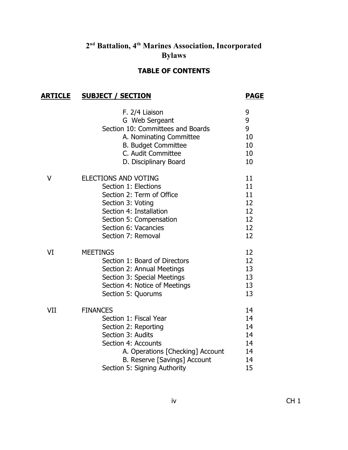## **TABLE OF CONTENTS**

## **ARTICLE SUBJECT / SECTION PAGE**

|     | F. 2/4 Liaison<br>G Web Sergeant<br>Section 10: Committees and Boards<br>A. Nominating Committee<br><b>B. Budget Committee</b><br>C. Audit Committee<br>D. Disciplinary Board                                     | 9<br>9<br>9<br>10<br>10<br>10<br>10                       |
|-----|-------------------------------------------------------------------------------------------------------------------------------------------------------------------------------------------------------------------|-----------------------------------------------------------|
| V   | <b>ELECTIONS AND VOTING</b><br>Section 1: Elections<br>Section 2: Term of Office<br>Section 3: Voting<br>Section 4: Installation<br>Section 5: Compensation<br>Section 6: Vacancies<br>Section 7: Removal         | 11<br>11 <sup>1</sup><br>11<br>12<br>12<br>12<br>12<br>12 |
| VI  | <b>MEETINGS</b><br>Section 1: Board of Directors<br>Section 2: Annual Meetings<br>Section 3: Special Meetings<br>Section 4: Notice of Meetings<br>Section 5: Quorums                                              | 12<br>12<br>13<br>13<br>13<br>13                          |
| VII | <b>FINANCES</b><br>Section 1: Fiscal Year<br>Section 2: Reporting<br>Section 3: Audits<br>Section 4: Accounts<br>A. Operations [Checking] Account<br>B. Reserve [Savings] Account<br>Section 5: Signing Authority | 14<br>14<br>14<br>14<br>14<br>14<br>14<br>15              |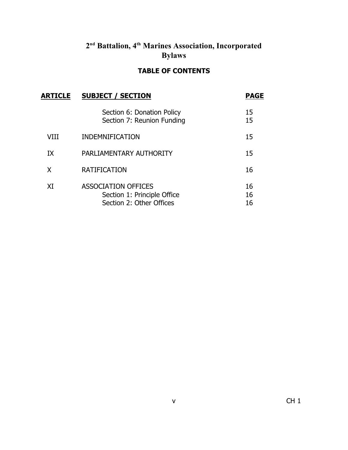## **TABLE OF CONTENTS**

| <b>ARTICLE</b> | <b>SUBJECT / SECTION</b>                                                              |                |
|----------------|---------------------------------------------------------------------------------------|----------------|
|                | Section 6: Donation Policy<br>Section 7: Reunion Funding                              | 15<br>15       |
| VIII           | <b>INDEMNIFICATION</b>                                                                | 15             |
| IX             | PARLIAMENTARY AUTHORITY                                                               | 15             |
| X              | <b>RATIFICATION</b>                                                                   | 16             |
| XI             | <b>ASSOCIATION OFFICES</b><br>Section 1: Principle Office<br>Section 2: Other Offices | 16<br>16<br>16 |
|                |                                                                                       |                |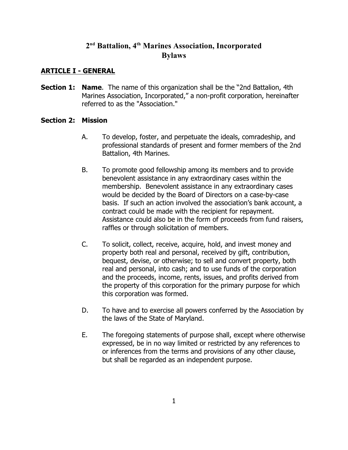#### **ARTICLE I - GENERAL**

**Section 1: Name**. The name of this organization shall be the "2nd Battalion, 4th Marines Association, Incorporated," a non-profit corporation, hereinafter referred to as the "Association."

#### **Section 2: Mission**

- A. To develop, foster, and perpetuate the ideals, comradeship, and professional standards of present and former members of the 2nd Battalion, 4th Marines.
- B. To promote good fellowship among its members and to provide benevolent assistance in any extraordinary cases within the membership. Benevolent assistance in any extraordinary cases would be decided by the Board of Directors on a case-by-case basis. If such an action involved the association's bank account, a contract could be made with the recipient for repayment. Assistance could also be in the form of proceeds from fund raisers, raffles or through solicitation of members.
- C. To solicit, collect, receive, acquire, hold, and invest money and property both real and personal, received by gift, contribution, bequest, devise, or otherwise; to sell and convert property, both real and personal, into cash; and to use funds of the corporation and the proceeds, income, rents, issues, and profits derived from the property of this corporation for the primary purpose for which this corporation was formed.
- D. To have and to exercise all powers conferred by the Association by the laws of the State of Maryland.
- E. The foregoing statements of purpose shall, except where otherwise expressed, be in no way limited or restricted by any references to or inferences from the terms and provisions of any other clause, but shall be regarded as an independent purpose.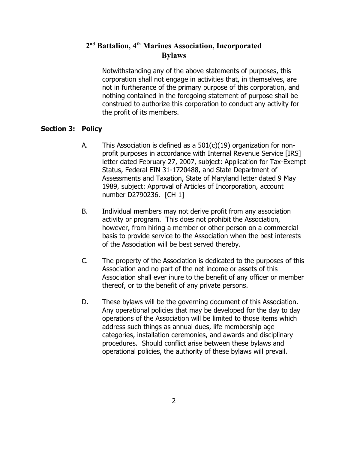Notwithstanding any of the above statements of purposes, this corporation shall not engage in activities that, in themselves, are not in furtherance of the primary purpose of this corporation, and nothing contained in the foregoing statement of purpose shall be construed to authorize this corporation to conduct any activity for the profit of its members.

#### **Section 3: Policy**

- A. This Association is defined as a 501(c)(19) organization for nonprofit purposes in accordance with Internal Revenue Service [IRS] letter dated February 27, 2007, subject: Application for Tax-Exempt Status, Federal EIN 31-1720488, and State Department of Assessments and Taxation, State of Maryland letter dated 9 May 1989, subject: Approval of Articles of Incorporation, account number D2790236. [CH 1]
- B. Individual members may not derive profit from any association activity or program. This does not prohibit the Association, however, from hiring a member or other person on a commercial basis to provide service to the Association when the best interests of the Association will be best served thereby.
- C. The property of the Association is dedicated to the purposes of this Association and no part of the net income or assets of this Association shall ever inure to the benefit of any officer or member thereof, or to the benefit of any private persons.
- D. These bylaws will be the governing document of this Association. Any operational policies that may be developed for the day to day operations of the Association will be limited to those items which address such things as annual dues, life membership age categories, installation ceremonies, and awards and disciplinary procedures. Should conflict arise between these bylaws and operational policies, the authority of these bylaws will prevail.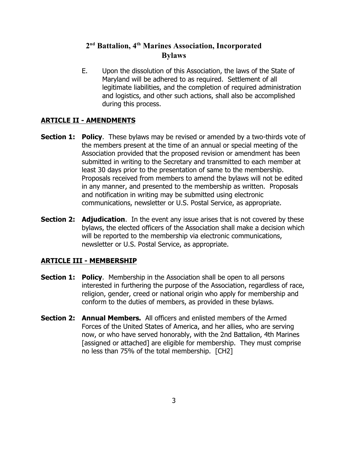E. Upon the dissolution of this Association, the laws of the State of Maryland will be adhered to as required. Settlement of all legitimate liabilities, and the completion of required administration and logistics, and other such actions, shall also be accomplished during this process.

## **ARTICLE II - AMENDMENTS**

- **Section 1: Policy**. These bylaws may be revised or amended by a two-thirds vote of the members present at the time of an annual or special meeting of the Association provided that the proposed revision or amendment has been submitted in writing to the Secretary and transmitted to each member at least 30 days prior to the presentation of same to the membership. Proposals received from members to amend the bylaws will not be edited in any manner, and presented to the membership as written. Proposals and notification in writing may be submitted using electronic communications, newsletter or U.S. Postal Service, as appropriate.
- **Section 2: Adjudication.** In the event any issue arises that is not covered by these bylaws, the elected officers of the Association shall make a decision which will be reported to the membership via electronic communications, newsletter or U.S. Postal Service, as appropriate.

### **ARTICLE III - MEMBERSHIP**

- **Section 1: Policy**. Membership in the Association shall be open to all persons interested in furthering the purpose of the Association, regardless of race, religion, gender, creed or national origin who apply for membership and conform to the duties of members, as provided in these bylaws.
- **Section 2: Annual Members.** All officers and enlisted members of the Armed Forces of the United States of America, and her allies, who are serving now, or who have served honorably, with the 2nd Battalion, 4th Marines [assigned or attached] are eligible for membership. They must comprise no less than 75% of the total membership. [CH2]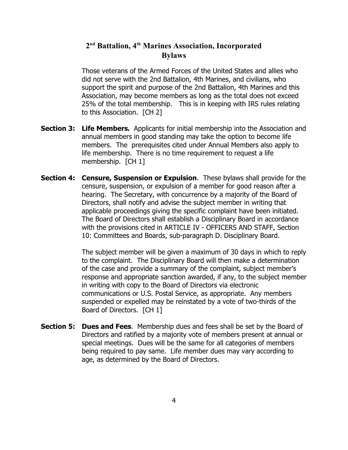Those veterans of the Armed Forces of the United States and allies who did not serve with the 2nd Battalion, 4th Marines, and civilians, who support the spirit and purpose of the 2nd Battalion, 4th Marines and this Association, may become members as long as the total does not exceed 25% of the total membership. This is in keeping with IRS rules relating to this Association. [CH 2]

- **Section 3: Life Members.** Applicants for initial membership into the Association and annual members in good standing may take the option to become life members. The prerequisites cited under Annual Members also apply to life membership. There is no time requirement to request a life membership. [CH 1]
- **Section 4: Censure, Suspension or Expulsion**. These bylaws shall provide for the censure, suspension, or expulsion of a member for good reason after a hearing. The Secretary, with concurrence by a majority of the Board of Directors, shall notify and advise the subject member in writing that applicable proceedings giving the specific complaint have been initiated. The Board of Directors shall establish a Disciplinary Board in accordance with the provisions cited in ARTICLE IV - OFFICERS AND STAFF, Section 10: Committees and Boards, sub-paragraph D. Disciplinary Board.

The subject member will be given a maximum of 30 days in which to reply to the complaint. The Disciplinary Board will then make a determination of the case and provide a summary of the complaint, subject member's response and appropriate sanction awarded, if any, to the subject member in writing with copy to the Board of Directors via electronic communications or U.S. Postal Service, as appropriate. Any members suspended or expelled may be reinstated by a vote of two-thirds of the Board of Directors. [CH 1]

**Section 5: Dues and Fees**. Membership dues and fees shall be set by the Board of Directors and ratified by a majority vote of members present at annual or special meetings. Dues will be the same for all categories of members being required to pay same. Life member dues may vary according to age, as determined by the Board of Directors.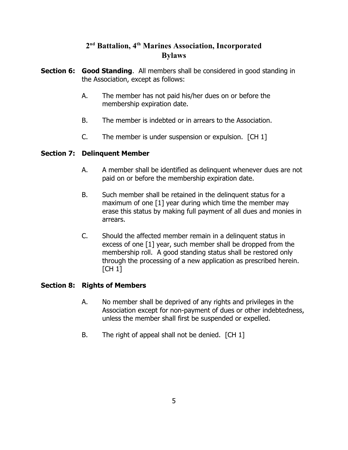- **Section 6: Good Standing**. All members shall be considered in good standing in the Association, except as follows:
	- A. The member has not paid his/her dues on or before the membership expiration date.
	- B. The member is indebted or in arrears to the Association.
	- C. The member is under suspension or expulsion. [CH 1]

#### **Section 7: Delinquent Member**

- A. A member shall be identified as delinquent whenever dues are not paid on or before the membership expiration date.
- B. Such member shall be retained in the delinquent status for a maximum of one [1] year during which time the member may erase this status by making full payment of all dues and monies in arrears.
- C. Should the affected member remain in a delinquent status in excess of one [1] year, such member shall be dropped from the membership roll. A good standing status shall be restored only through the processing of a new application as prescribed herein. [CH 1]

### **Section 8: Rights of Members**

- A. No member shall be deprived of any rights and privileges in the Association except for non-payment of dues or other indebtedness, unless the member shall first be suspended or expelled.
- B. The right of appeal shall not be denied. [CH 1]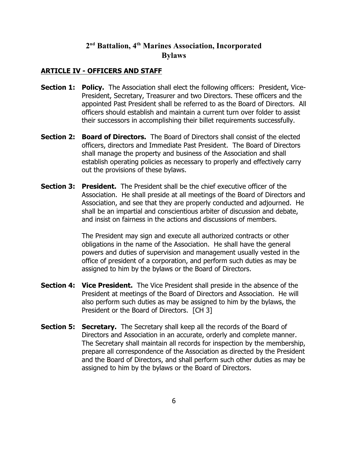#### **ARTICLE IV - OFFICERS AND STAFF**

- **Section 1: Policy.** The Association shall elect the following officers: President, Vice-President, Secretary, Treasurer and two Directors. These officers and the appointed Past President shall be referred to as the Board of Directors. All officers should establish and maintain a current turn over folder to assist their successors in accomplishing their billet requirements successfully.
- **Section 2: Board of Directors.** The Board of Directors shall consist of the elected officers, directors and Immediate Past President. The Board of Directors shall manage the property and business of the Association and shall establish operating policies as necessary to properly and effectively carry out the provisions of these bylaws.
- **Section 3: President.** The President shall be the chief executive officer of the Association. He shall preside at all meetings of the Board of Directors and Association, and see that they are properly conducted and adjourned. He shall be an impartial and conscientious arbiter of discussion and debate, and insist on fairness in the actions and discussions of members.

The President may sign and execute all authorized contracts or other obligations in the name of the Association. He shall have the general powers and duties of supervision and management usually vested in the office of president of a corporation, and perform such duties as may be assigned to him by the bylaws or the Board of Directors.

- **Section 4: Vice President.** The Vice President shall preside in the absence of the President at meetings of the Board of Directors and Association. He will also perform such duties as may be assigned to him by the bylaws, the President or the Board of Directors. [CH 3]
- **Section 5: Secretary.** The Secretary shall keep all the records of the Board of Directors and Association in an accurate, orderly and complete manner. The Secretary shall maintain all records for inspection by the membership, prepare all correspondence of the Association as directed by the President and the Board of Directors, and shall perform such other duties as may be assigned to him by the bylaws or the Board of Directors.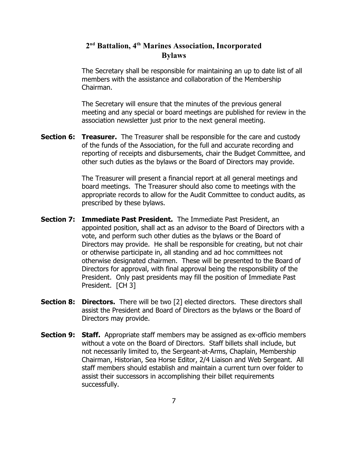The Secretary shall be responsible for maintaining an up to date list of all members with the assistance and collaboration of the Membership Chairman.

The Secretary will ensure that the minutes of the previous general meeting and any special or board meetings are published for review in the association newsletter just prior to the next general meeting.

**Section 6: Treasurer.** The Treasurer shall be responsible for the care and custody of the funds of the Association, for the full and accurate recording and reporting of receipts and disbursements, chair the Budget Committee, and other such duties as the bylaws or the Board of Directors may provide.

> The Treasurer will present a financial report at all general meetings and board meetings. The Treasurer should also come to meetings with the appropriate records to allow for the Audit Committee to conduct audits, as prescribed by these bylaws.

- **Section 7: Immediate Past President.** The Immediate Past President, an appointed position, shall act as an advisor to the Board of Directors with a vote, and perform such other duties as the bylaws or the Board of Directors may provide. He shall be responsible for creating, but not chair or otherwise participate in, all standing and ad hoc committees not otherwise designated chairmen. These will be presented to the Board of Directors for approval, with final approval being the responsibility of the President. Only past presidents may fill the position of Immediate Past President. [CH 3]
- **Section 8: Directors.** There will be two [2] elected directors. These directors shall assist the President and Board of Directors as the bylaws or the Board of Directors may provide.
- **Section 9: Staff.** Appropriate staff members may be assigned as ex-officio members without a vote on the Board of Directors. Staff billets shall include, but not necessarily limited to, the Sergeant-at-Arms, Chaplain, Membership Chairman, Historian, Sea Horse Editor, 2/4 Liaison and Web Sergeant. All staff members should establish and maintain a current turn over folder to assist their successors in accomplishing their billet requirements successfully.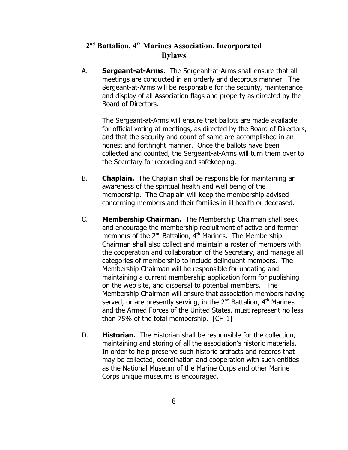A. **Sergeant-at-Arms.** The Sergeant-at-Arms shall ensure that all meetings are conducted in an orderly and decorous manner. The Sergeant-at-Arms will be responsible for the security, maintenance and display of all Association flags and property as directed by the Board of Directors.

The Sergeant-at-Arms will ensure that ballots are made available for official voting at meetings, as directed by the Board of Directors, and that the security and count of same are accomplished in an honest and forthright manner. Once the ballots have been collected and counted, the Sergeant-at-Arms will turn them over to the Secretary for recording and safekeeping.

- B. **Chaplain.** The Chaplain shall be responsible for maintaining an awareness of the spiritual health and well being of the membership. The Chaplain will keep the membership advised concerning members and their families in ill health or deceased.
- C. **Membership Chairman.** The Membership Chairman shall seek and encourage the membership recruitment of active and former members of the 2<sup>nd</sup> Battalion, 4<sup>th</sup> Marines. The Membership Chairman shall also collect and maintain a roster of members with the cooperation and collaboration of the Secretary, and manage all categories of membership to include delinquent members. The Membership Chairman will be responsible for updating and maintaining a current membership application form for publishing on the web site, and dispersal to potential members. The Membership Chairman will ensure that association members having served, or are presently serving, in the 2<sup>nd</sup> Battalion, 4<sup>th</sup> Marines and the Armed Forces of the United States, must represent no less than 75% of the total membership. [CH 1]
- D. **Historian.** The Historian shall be responsible for the collection, maintaining and storing of all the association's historic materials. In order to help preserve such historic artifacts and records that may be collected, coordination and cooperation with such entities as the National Museum of the Marine Corps and other Marine Corps unique museums is encouraged.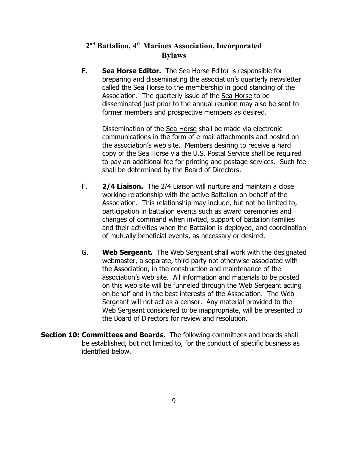E. **Sea Horse Editor.** The Sea Horse Editor is responsible for preparing and disseminating the association's quarterly newsletter called the Sea Horse to the membership in good standing of the Association. The quarterly issue of the Sea Horse to be disseminated just prior to the annual reunion may also be sent to former members and prospective members as desired.

Dissemination of the Sea Horse shall be made via electronic communications in the form of e-mail attachments and posted on the association's web site. Members desiring to receive a hard copy of the Sea Horse via the U.S. Postal Service shall be required to pay an additional fee for printing and postage services. Such fee shall be determined by the Board of Directors.

- F. **2/4 Liaison.** The 2/4 Liaison will nurture and maintain a close working relationship with the active Battalion on behalf of the Association. This relationship may include, but not be limited to, participation in battalion events such as award ceremonies and changes of command when invited, support of battalion families and their activities when the Battalion is deployed, and coordination of mutually beneficial events, as necessary or desired.
- G. **Web Sergeant.** The Web Sergeant shall work with the designated webmaster, a separate, third party not otherwise associated with the Association, in the construction and maintenance of the association's web site. All information and materials to be posted on this web site will be funneled through the Web Sergeant acting on behalf and in the best interests of the Association. The Web Sergeant will not act as a censor. Any material provided to the Web Sergeant considered to be inappropriate, will be presented to the Board of Directors for review and resolution.
- **Section 10: Committees and Boards.** The following committees and boards shall be established, but not limited to, for the conduct of specific business as identified below.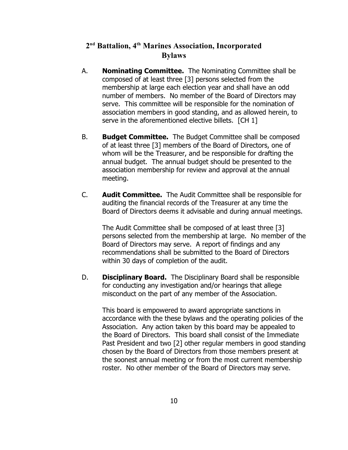- A. **Nominating Committee.** The Nominating Committee shall be composed of at least three [3] persons selected from the membership at large each election year and shall have an odd number of members. No member of the Board of Directors may serve. This committee will be responsible for the nomination of association members in good standing, and as allowed herein, to serve in the aforementioned elective billets. [CH 1]
- B. **Budget Committee.** The Budget Committee shall be composed of at least three [3] members of the Board of Directors, one of whom will be the Treasurer, and be responsible for drafting the annual budget. The annual budget should be presented to the association membership for review and approval at the annual meeting.
- C. **Audit Committee.** The Audit Committee shall be responsible for auditing the financial records of the Treasurer at any time the Board of Directors deems it advisable and during annual meetings.

The Audit Committee shall be composed of at least three [3] persons selected from the membership at large. No member of the Board of Directors may serve. A report of findings and any recommendations shall be submitted to the Board of Directors within 30 days of completion of the audit.

D. **Disciplinary Board.** The Disciplinary Board shall be responsible for conducting any investigation and/or hearings that allege misconduct on the part of any member of the Association.

This board is empowered to award appropriate sanctions in accordance with the these bylaws and the operating policies of the Association. Any action taken by this board may be appealed to the Board of Directors. This board shall consist of the Immediate Past President and two [2] other regular members in good standing chosen by the Board of Directors from those members present at the soonest annual meeting or from the most current membership roster. No other member of the Board of Directors may serve.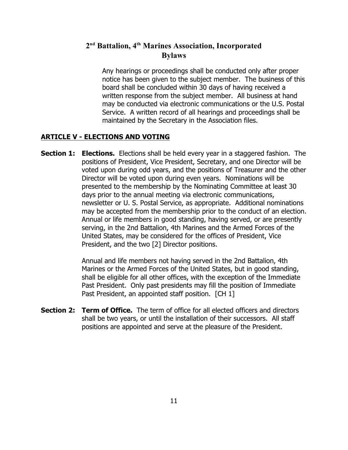Any hearings or proceedings shall be conducted only after proper notice has been given to the subject member. The business of this board shall be concluded within 30 days of having received a written response from the subject member. All business at hand may be conducted via electronic communications or the U.S. Postal Service. A written record of all hearings and proceedings shall be maintained by the Secretary in the Association files.

#### **ARTICLE V - ELECTIONS AND VOTING**

**Section 1: Elections.** Elections shall be held every year in a staggered fashion. The positions of President, Vice President, Secretary, and one Director will be voted upon during odd years, and the positions of Treasurer and the other Director will be voted upon during even years. Nominations will be presented to the membership by the Nominating Committee at least 30 days prior to the annual meeting via electronic communications, newsletter or U. S. Postal Service, as appropriate. Additional nominations may be accepted from the membership prior to the conduct of an election. Annual or life members in good standing, having served, or are presently serving, in the 2nd Battalion, 4th Marines and the Armed Forces of the United States, may be considered for the offices of President, Vice President, and the two [2] Director positions.

> Annual and life members not having served in the 2nd Battalion, 4th Marines or the Armed Forces of the United States, but in good standing, shall be eligible for all other offices, with the exception of the Immediate Past President. Only past presidents may fill the position of Immediate Past President, an appointed staff position. [CH 1]

**Section 2: Term of Office.** The term of office for all elected officers and directors shall be two years, or until the installation of their successors. All staff positions are appointed and serve at the pleasure of the President.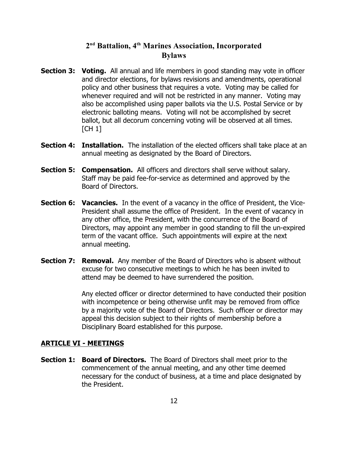- **Section 3: Voting.** All annual and life members in good standing may vote in officer and director elections, for bylaws revisions and amendments, operational policy and other business that requires a vote. Voting may be called for whenever required and will not be restricted in any manner. Voting may also be accomplished using paper ballots via the U.S. Postal Service or by electronic balloting means. Voting will not be accomplished by secret ballot, but all decorum concerning voting will be observed at all times. **[CH 1]**
- **Section 4: Installation.** The installation of the elected officers shall take place at an annual meeting as designated by the Board of Directors.
- **Section 5: Compensation.** All officers and directors shall serve without salary. Staff may be paid fee-for-service as determined and approved by the Board of Directors.
- **Section 6: Vacancies.** In the event of a vacancy in the office of President, the Vice-President shall assume the office of President. In the event of vacancy in any other office, the President, with the concurrence of the Board of Directors, may appoint any member in good standing to fill the un-expired term of the vacant office. Such appointments will expire at the next annual meeting.
- **Section 7: Removal.** Any member of the Board of Directors who is absent without excuse for two consecutive meetings to which he has been invited to attend may be deemed to have surrendered the position.

Any elected officer or director determined to have conducted their position with incompetence or being otherwise unfit may be removed from office by a majority vote of the Board of Directors. Such officer or director may appeal this decision subject to their rights of membership before a Disciplinary Board established for this purpose.

#### **ARTICLE VI - MEETINGS**

**Section 1: Board of Directors.** The Board of Directors shall meet prior to the commencement of the annual meeting, and any other time deemed necessary for the conduct of business, at a time and place designated by the President.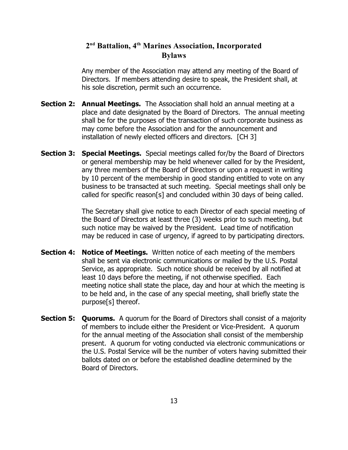Any member of the Association may attend any meeting of the Board of Directors. If members attending desire to speak, the President shall, at his sole discretion, permit such an occurrence.

- **Section 2: Annual Meetings.** The Association shall hold an annual meeting at a place and date designated by the Board of Directors. The annual meeting shall be for the purposes of the transaction of such corporate business as may come before the Association and for the announcement and installation of newly elected officers and directors. [CH 3]
- **Section 3: Special Meetings.** Special meetings called for/by the Board of Directors or general membership may be held whenever called for by the President, any three members of the Board of Directors or upon a request in writing by 10 percent of the membership in good standing entitled to vote on any business to be transacted at such meeting. Special meetings shall only be called for specific reason[s] and concluded within 30 days of being called.

The Secretary shall give notice to each Director of each special meeting of the Board of Directors at least three (3) weeks prior to such meeting, but such notice may be waived by the President. Lead time of notification may be reduced in case of urgency, if agreed to by participating directors.

- **Section 4: Notice of Meetings.** Written notice of each meeting of the members shall be sent via electronic communications or mailed by the U.S. Postal Service, as appropriate. Such notice should be received by all notified at least 10 days before the meeting, if not otherwise specified. Each meeting notice shall state the place, day and hour at which the meeting is to be held and, in the case of any special meeting, shall briefly state the purpose[s] thereof.
- **Section 5: Quorums.** A quorum for the Board of Directors shall consist of a majority of members to include either the President or Vice-President. A quorum for the annual meeting of the Association shall consist of the membership present. A quorum for voting conducted via electronic communications or the U.S. Postal Service will be the number of voters having submitted their ballots dated on or before the established deadline determined by the Board of Directors.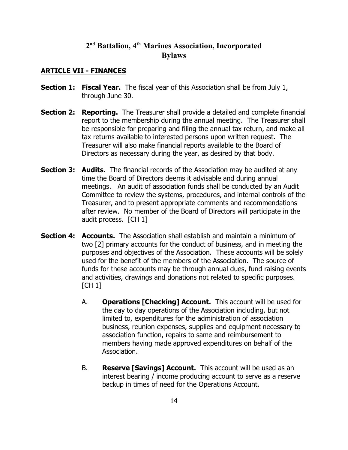#### **ARTICLE VII - FINANCES**

- **Section 1: Fiscal Year.** The fiscal year of this Association shall be from July 1, through June 30.
- **Section 2: Reporting.** The Treasurer shall provide a detailed and complete financial report to the membership during the annual meeting. The Treasurer shall be responsible for preparing and filing the annual tax return, and make all tax returns available to interested persons upon written request. The Treasurer will also make financial reports available to the Board of Directors as necessary during the year, as desired by that body.
- **Section 3: Audits.** The financial records of the Association may be audited at any time the Board of Directors deems it advisable and during annual meetings. An audit of association funds shall be conducted by an Audit Committee to review the systems, procedures, and internal controls of the Treasurer, and to present appropriate comments and recommendations after review. No member of the Board of Directors will participate in the audit process. [CH 1]
- **Section 4: Accounts.** The Association shall establish and maintain a minimum of two [2] primary accounts for the conduct of business, and in meeting the purposes and objectives of the Association. These accounts will be solely used for the benefit of the members of the Association. The source of funds for these accounts may be through annual dues, fund raising events and activities, drawings and donations not related to specific purposes.  $[CH 1]$ 
	- A. **Operations [Checking] Account.** This account will be used for the day to day operations of the Association including, but not limited to, expenditures for the administration of association business, reunion expenses, supplies and equipment necessary to association function, repairs to same and reimbursement to members having made approved expenditures on behalf of the Association.
	- B. **Reserve [Savings] Account.** This account will be used as an interest bearing / income producing account to serve as a reserve backup in times of need for the Operations Account.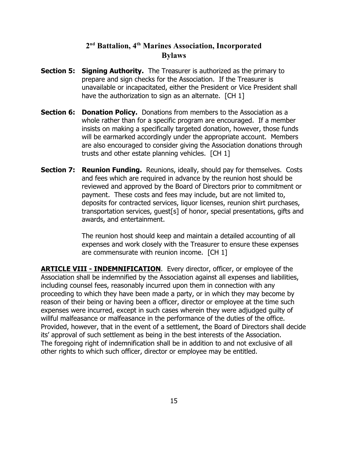- **Section 5: Signing Authority.** The Treasurer is authorized as the primary to prepare and sign checks for the Association. If the Treasurer is unavailable or incapacitated, either the President or Vice President shall have the authorization to sign as an alternate. [CH 1]
- **Section 6: Donation Policy.** Donations from members to the Association as a whole rather than for a specific program are encouraged. If a member insists on making a specifically targeted donation, however, those funds will be earmarked accordingly under the appropriate account. Members are also encouraged to consider giving the Association donations through trusts and other estate planning vehicles. [CH 1]
- **Section 7: Reunion Funding.** Reunions, ideally, should pay for themselves. Costs and fees which are required in advance by the reunion host should be reviewed and approved by the Board of Directors prior to commitment or payment. These costs and fees may include, but are not limited to, deposits for contracted services, liquor licenses, reunion shirt purchases, transportation services, guest[s] of honor, special presentations, gifts and awards, and entertainment.

The reunion host should keep and maintain a detailed accounting of all expenses and work closely with the Treasurer to ensure these expenses are commensurate with reunion income. [CH 1]

**ARTICLE VIII - INDEMNIFICATION.** Every director, officer, or employee of the Association shall be indemnified by the Association against all expenses and liabilities, including counsel fees, reasonably incurred upon them in connection with any proceeding to which they have been made a party, or in which they may become by reason of their being or having been a officer, director or employee at the time such expenses were incurred, except in such cases wherein they were adjudged guilty of willful malfeasance or malfeasance in the performance of the duties of the office. Provided, however, that in the event of a settlement, the Board of Directors shall decide its' approval of such settlement as being in the best interests of the Association. The foregoing right of indemnification shall be in addition to and not exclusive of all other rights to which such officer, director or employee may be entitled.